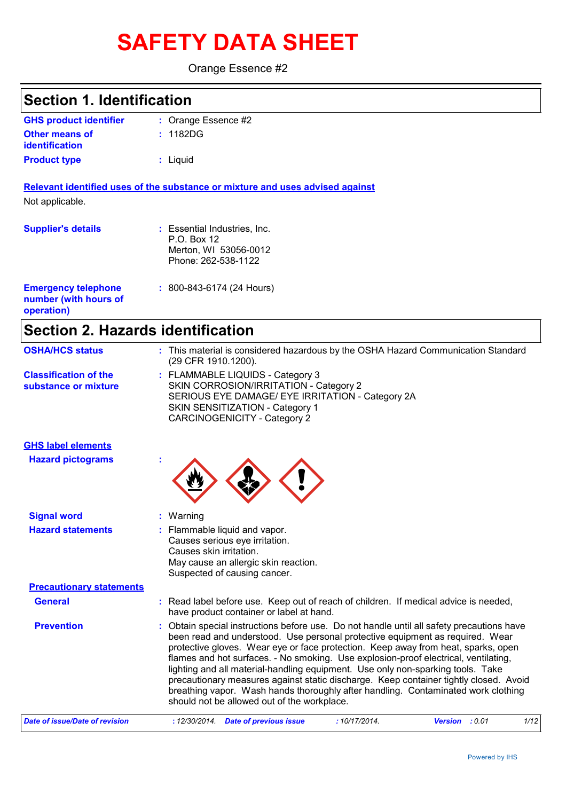# **SAFETY DATA SHEET**

Orange Essence #2

# **Section 1. Identification**

| <b>GHS product identifier</b> | : Orange Essence #2 |
|-------------------------------|---------------------|
| <b>Other means of</b>         | : 1182DG            |
| <u>identification</u>         |                     |
| <b>Product type</b>           | : Liquid            |

**Relevant identified uses of the substance or mixture and uses advised against** Not applicable.

| <b>Supplier's details</b>                                         | : Essential Industries, Inc.<br>P.O. Box 12<br>Merton, WI 53056-0012<br>Phone: 262-538-1122 |
|-------------------------------------------------------------------|---------------------------------------------------------------------------------------------|
| <b>Emergency telephone</b><br>number (with hours of<br>operation) | $: 800 - 843 - 6174$ (24 Hours)                                                             |

# **Section 2. Hazards identification**

| <b>OSHA/HCS status</b>                               | : This material is considered hazardous by the OSHA Hazard Communication Standard<br>(29 CFR 1910.1200).                                                                                                                                                                                                                                                                                                                                                                                                                                                                                                                                                             |
|------------------------------------------------------|----------------------------------------------------------------------------------------------------------------------------------------------------------------------------------------------------------------------------------------------------------------------------------------------------------------------------------------------------------------------------------------------------------------------------------------------------------------------------------------------------------------------------------------------------------------------------------------------------------------------------------------------------------------------|
| <b>Classification of the</b><br>substance or mixture | : FLAMMABLE LIQUIDS - Category 3<br>SKIN CORROSION/IRRITATION - Category 2<br>SERIOUS EYE DAMAGE/ EYE IRRITATION - Category 2A<br>SKIN SENSITIZATION - Category 1<br><b>CARCINOGENICITY - Category 2</b>                                                                                                                                                                                                                                                                                                                                                                                                                                                             |
| <b>GHS label elements</b>                            |                                                                                                                                                                                                                                                                                                                                                                                                                                                                                                                                                                                                                                                                      |
| <b>Hazard pictograms</b>                             |                                                                                                                                                                                                                                                                                                                                                                                                                                                                                                                                                                                                                                                                      |
| <b>Signal word</b>                                   | : Warning                                                                                                                                                                                                                                                                                                                                                                                                                                                                                                                                                                                                                                                            |
| <b>Hazard statements</b>                             | : Flammable liquid and vapor.<br>Causes serious eye irritation.<br>Causes skin irritation.<br>May cause an allergic skin reaction.<br>Suspected of causing cancer.                                                                                                                                                                                                                                                                                                                                                                                                                                                                                                   |
| <b>Precautionary statements</b>                      |                                                                                                                                                                                                                                                                                                                                                                                                                                                                                                                                                                                                                                                                      |
| <b>General</b>                                       | : Read label before use. Keep out of reach of children. If medical advice is needed,<br>have product container or label at hand.                                                                                                                                                                                                                                                                                                                                                                                                                                                                                                                                     |
| <b>Prevention</b>                                    | Obtain special instructions before use. Do not handle until all safety precautions have<br>been read and understood. Use personal protective equipment as required. Wear<br>protective gloves. Wear eye or face protection. Keep away from heat, sparks, open<br>flames and hot surfaces. - No smoking. Use explosion-proof electrical, ventilating,<br>lighting and all material-handling equipment. Use only non-sparking tools. Take<br>precautionary measures against static discharge. Keep container tightly closed. Avoid<br>breathing vapor. Wash hands thoroughly after handling. Contaminated work clothing<br>should not be allowed out of the workplace. |
| <b>Date of issue/Date of revision</b>                | : 12/30/2014 Date of previous issue<br>:10/17/2014.<br>Version : 0.01<br>1/12                                                                                                                                                                                                                                                                                                                                                                                                                                                                                                                                                                                        |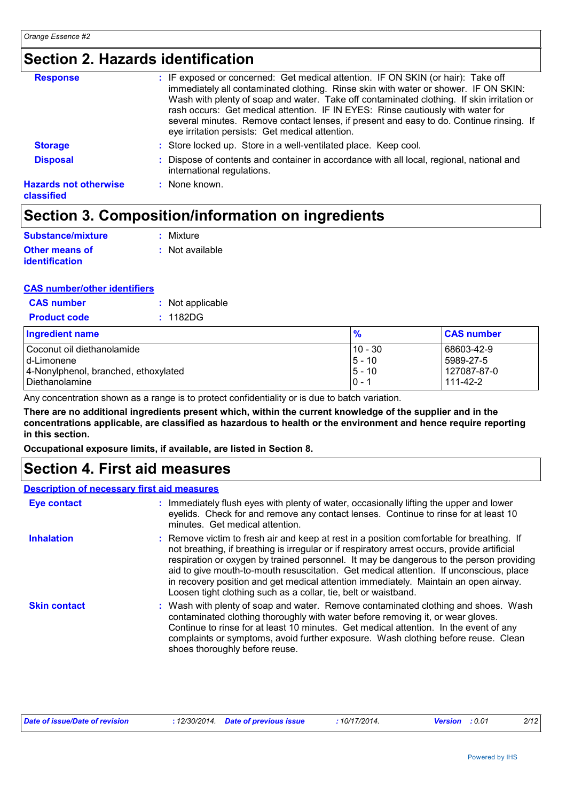# **Section 2. Hazards identification**

| <b>Response</b>                            | : IF exposed or concerned: Get medical attention. IF ON SKIN (or hair): Take off<br>immediately all contaminated clothing. Rinse skin with water or shower. IF ON SKIN:<br>Wash with plenty of soap and water. Take off contaminated clothing. If skin irritation or<br>rash occurs: Get medical attention. IF IN EYES: Rinse cautiously with water for<br>several minutes. Remove contact lenses, if present and easy to do. Continue rinsing. If<br>eye irritation persists: Get medical attention. |
|--------------------------------------------|-------------------------------------------------------------------------------------------------------------------------------------------------------------------------------------------------------------------------------------------------------------------------------------------------------------------------------------------------------------------------------------------------------------------------------------------------------------------------------------------------------|
| <b>Storage</b>                             | : Store locked up. Store in a well-ventilated place. Keep cool.                                                                                                                                                                                                                                                                                                                                                                                                                                       |
| <b>Disposal</b>                            | : Dispose of contents and container in accordance with all local, regional, national and<br>international regulations.                                                                                                                                                                                                                                                                                                                                                                                |
| <b>Hazards not otherwise</b><br>classified | : None known.                                                                                                                                                                                                                                                                                                                                                                                                                                                                                         |

# **Section 3. Composition/information on ingredients**

| Substance/mixture     | : Mixture       |
|-----------------------|-----------------|
| Other means of        | : Not available |
| <b>identification</b> |                 |

#### **CAS number/other identifiers**

| <b>CAS</b> number   | : Not applicable |
|---------------------|------------------|
| <b>Product code</b> | : 1182DG         |

| <b>Ingredient name</b>               | %         | <b>CAS number</b> |
|--------------------------------------|-----------|-------------------|
| Coconut oil diethanolamide           | $10 - 30$ | 68603-42-9        |
| Id-Limonene                          | $5 - 10$  | 5989-27-5         |
| 4-Nonylphenol, branched, ethoxylated | 5 - 10    | 127087-87-0       |
| Diethanolamine                       | $10 - 1$  | 111-42-2          |

Any concentration shown as a range is to protect confidentiality or is due to batch variation.

**There are no additional ingredients present which, within the current knowledge of the supplier and in the concentrations applicable, are classified as hazardous to health or the environment and hence require reporting in this section.**

**Occupational exposure limits, if available, are listed in Section 8.**

### **Section 4. First aid measures**

#### **Description of necessary first aid measures**

| Eye contact         | : Immediately flush eyes with plenty of water, occasionally lifting the upper and lower<br>eyelids. Check for and remove any contact lenses. Continue to rinse for at least 10<br>minutes. Get medical attention.                                                                                                                                                                                                                                                                                                                         |
|---------------------|-------------------------------------------------------------------------------------------------------------------------------------------------------------------------------------------------------------------------------------------------------------------------------------------------------------------------------------------------------------------------------------------------------------------------------------------------------------------------------------------------------------------------------------------|
| <b>Inhalation</b>   | : Remove victim to fresh air and keep at rest in a position comfortable for breathing. If<br>not breathing, if breathing is irregular or if respiratory arrest occurs, provide artificial<br>respiration or oxygen by trained personnel. It may be dangerous to the person providing<br>aid to give mouth-to-mouth resuscitation. Get medical attention. If unconscious, place<br>in recovery position and get medical attention immediately. Maintain an open airway.<br>Loosen tight clothing such as a collar, tie, belt or waistband. |
| <b>Skin contact</b> | : Wash with plenty of soap and water. Remove contaminated clothing and shoes. Wash<br>contaminated clothing thoroughly with water before removing it, or wear gloves.<br>Continue to rinse for at least 10 minutes. Get medical attention. In the event of any<br>complaints or symptoms, avoid further exposure. Wash clothing before reuse. Clean<br>shoes thoroughly before reuse.                                                                                                                                                     |

| Date of issue/Date of revision | : 12/30/2014 Date of previous issue |  | 10/17/2014. | <b>Version</b> : 0.01 |  | 2/12 |
|--------------------------------|-------------------------------------|--|-------------|-----------------------|--|------|
|--------------------------------|-------------------------------------|--|-------------|-----------------------|--|------|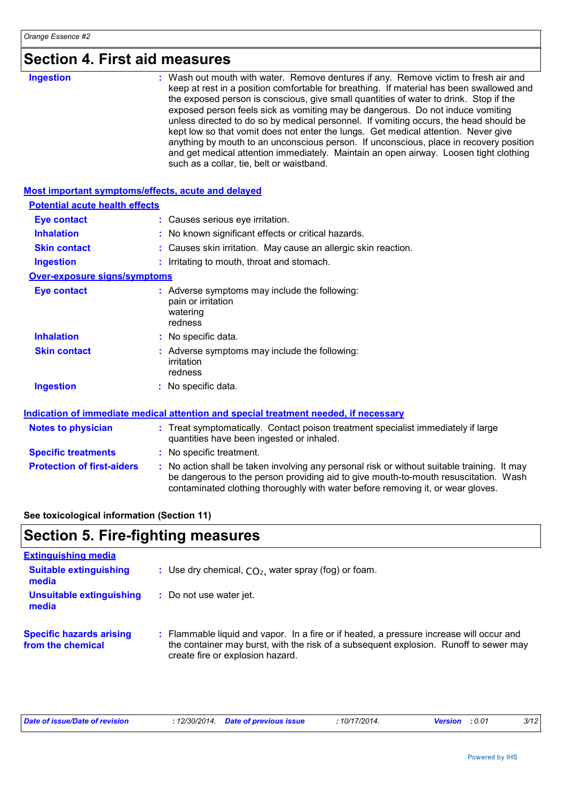| <b>Ingestion</b> | : Wash out mouth with water. Remove dentures if any. Remove victim to fresh air and                                                                                                                                                                                 |
|------------------|---------------------------------------------------------------------------------------------------------------------------------------------------------------------------------------------------------------------------------------------------------------------|
|                  | keep at rest in a position comfortable for breathing. If material has been swallowed and<br>the exposed person is conscious, give small quantities of water to drink. Stop if the<br>exposed person feels sick as vomiting may be dangerous. Do not induce vomiting |
|                  | unless directed to do so by medical personnel. If vomiting occurs, the head should be<br>kept low so that vomit does not enter the lungs. Get medical attention. Never give                                                                                         |
|                  | anything by mouth to an unconscious person. If unconscious, place in recovery position<br>and get medical attention immediately. Maintain an open airway. Loosen tight clothing<br>such as a collar, tie, belt or waistband.                                        |

| Most important symptoms/effects, acute and delayed |                                                                                                                                                                                                                                                                       |
|----------------------------------------------------|-----------------------------------------------------------------------------------------------------------------------------------------------------------------------------------------------------------------------------------------------------------------------|
| <b>Potential acute health effects</b>              |                                                                                                                                                                                                                                                                       |
| <b>Eye contact</b>                                 | : Causes serious eye irritation.                                                                                                                                                                                                                                      |
| <b>Inhalation</b>                                  | : No known significant effects or critical hazards.                                                                                                                                                                                                                   |
| <b>Skin contact</b>                                | : Causes skin irritation. May cause an allergic skin reaction.                                                                                                                                                                                                        |
| <b>Ingestion</b>                                   | : Irritating to mouth, throat and stomach.                                                                                                                                                                                                                            |
| <b>Over-exposure signs/symptoms</b>                |                                                                                                                                                                                                                                                                       |
| <b>Eye contact</b>                                 | : Adverse symptoms may include the following:<br>pain or irritation<br>watering<br>redness                                                                                                                                                                            |
| <b>Inhalation</b>                                  | : No specific data.                                                                                                                                                                                                                                                   |
| <b>Skin contact</b>                                | : Adverse symptoms may include the following:<br>irritation<br>redness                                                                                                                                                                                                |
| <b>Ingestion</b>                                   | : No specific data.                                                                                                                                                                                                                                                   |
|                                                    | Indication of immediate medical attention and special treatment needed, if necessary                                                                                                                                                                                  |
| <b>Notes to physician</b>                          | : Treat symptomatically. Contact poison treatment specialist immediately if large<br>quantities have been ingested or inhaled.                                                                                                                                        |
| <b>Specific treatments</b>                         | : No specific treatment.                                                                                                                                                                                                                                              |
| <b>Protection of first-aiders</b>                  | : No action shall be taken involving any personal risk or without suitable training. It may<br>be dangerous to the person providing aid to give mouth-to-mouth resuscitation. Wash<br>contaminated clothing thoroughly with water before removing it, or wear gloves. |

### **See toxicological information (Section 11)**

# **Section 5. Fire-fighting measures**

| <b>Extinguishing media</b>                           |                                                                                                                                                                                                                       |
|------------------------------------------------------|-----------------------------------------------------------------------------------------------------------------------------------------------------------------------------------------------------------------------|
| <b>Suitable extinguishing</b><br>media               | : Use dry chemical, $CO2$ , water spray (fog) or foam.                                                                                                                                                                |
| Unsuitable extinguishing<br>media                    | : Do not use water jet.                                                                                                                                                                                               |
| <b>Specific hazards arising</b><br>from the chemical | : Flammable liquid and vapor. In a fire or if heated, a pressure increase will occur and<br>the container may burst, with the risk of a subsequent explosion. Runoff to sewer may<br>create fire or explosion hazard. |

| Date of issue/Date of revision | : 12/30/2014 Date of previous issue | 10/17/2014. | <b>Version</b> : 0.01 | 3/12 |
|--------------------------------|-------------------------------------|-------------|-----------------------|------|
|                                |                                     |             |                       |      |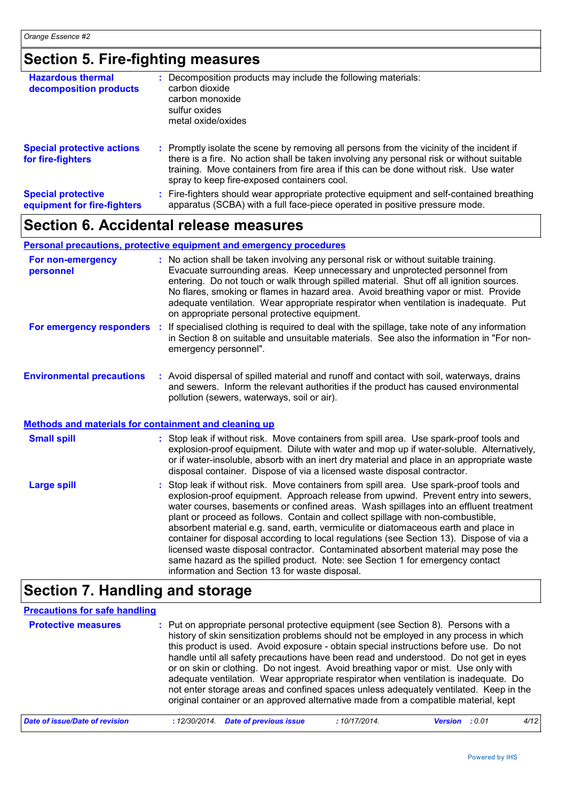### **Section 5. Fire-fighting measures**

| <b>Hazardous thermal</b><br>decomposition products       | Decomposition products may include the following materials:<br>carbon dioxide<br>carbon monoxide<br>sulfur oxides<br>metal oxide/oxides                                                                                                                                                                                       |
|----------------------------------------------------------|-------------------------------------------------------------------------------------------------------------------------------------------------------------------------------------------------------------------------------------------------------------------------------------------------------------------------------|
| <b>Special protective actions</b><br>for fire-fighters   | : Promptly isolate the scene by removing all persons from the vicinity of the incident if<br>there is a fire. No action shall be taken involving any personal risk or without suitable<br>training. Move containers from fire area if this can be done without risk. Use water<br>spray to keep fire-exposed containers cool. |
| <b>Special protective</b><br>equipment for fire-fighters | : Fire-fighters should wear appropriate protective equipment and self-contained breathing<br>apparatus (SCBA) with a full face-piece operated in positive pressure mode.                                                                                                                                                      |

### **Section 6. Accidental release measures**

#### **Personal precautions, protective equipment and emergency procedures**

| For non-emergency<br>personnel   | : No action shall be taken involving any personal risk or without suitable training.<br>Evacuate surrounding areas. Keep unnecessary and unprotected personnel from<br>entering. Do not touch or walk through spilled material. Shut off all ignition sources.<br>No flares, smoking or flames in hazard area. Avoid breathing vapor or mist. Provide<br>adequate ventilation. Wear appropriate respirator when ventilation is inadequate. Put<br>on appropriate personal protective equipment. |
|----------------------------------|-------------------------------------------------------------------------------------------------------------------------------------------------------------------------------------------------------------------------------------------------------------------------------------------------------------------------------------------------------------------------------------------------------------------------------------------------------------------------------------------------|
| For emergency responders         | If specialised clothing is required to deal with the spillage, take note of any information<br>in Section 8 on suitable and unsuitable materials. See also the information in "For non-<br>emergency personnel".                                                                                                                                                                                                                                                                                |
| <b>Environmental precautions</b> | : Avoid dispersal of spilled material and runoff and contact with soil, waterways, drains<br>and sewers. Inform the relevant authorities if the product has caused environmental<br>pollution (sewers, waterways, soil or air).                                                                                                                                                                                                                                                                 |

#### **Methods and materials for containment and cleaning up**

| <b>Small spill</b> | : Stop leak if without risk. Move containers from spill area. Use spark-proof tools and<br>explosion-proof equipment. Dilute with water and mop up if water-soluble. Alternatively,<br>or if water-insoluble, absorb with an inert dry material and place in an appropriate waste<br>disposal container. Dispose of via a licensed waste disposal contractor.                                                                                                                                                                                                                                                                                                                                                                                                        |
|--------------------|----------------------------------------------------------------------------------------------------------------------------------------------------------------------------------------------------------------------------------------------------------------------------------------------------------------------------------------------------------------------------------------------------------------------------------------------------------------------------------------------------------------------------------------------------------------------------------------------------------------------------------------------------------------------------------------------------------------------------------------------------------------------|
| <b>Large spill</b> | : Stop leak if without risk. Move containers from spill area. Use spark-proof tools and<br>explosion-proof equipment. Approach release from upwind. Prevent entry into sewers,<br>water courses, basements or confined areas. Wash spillages into an effluent treatment<br>plant or proceed as follows. Contain and collect spillage with non-combustible,<br>absorbent material e.g. sand, earth, vermiculite or diatomaceous earth and place in<br>container for disposal according to local regulations (see Section 13). Dispose of via a<br>licensed waste disposal contractor. Contaminated absorbent material may pose the<br>same hazard as the spilled product. Note: see Section 1 for emergency contact<br>information and Section 13 for waste disposal. |

### **Section 7. Handling and storage**

#### **Protective measures** : Put on appropriate personal protective equipment (see Section 8). Persons with a set on the a history of skin sensitization problems should not be employed in any process in which this product is used. Avoid exposure - obtain special instructions before use. Do not handle until all safety precautions have been read and understood. Do not get in eyes or on skin or clothing. Do not ingest. Avoid breathing vapor or mist. Use only with adequate ventilation. Wear appropriate respirator when ventilation is inadequate. Do not enter storage areas and confined spaces unless adequately ventilated. Keep in the original container or an approved alternative made from a compatible material, kept **Precautions for safe handling** *Date of issue/Date of revision* **:** *12/30/2014. Date of previous issue : 10/17/2014. Version : 0.01 4/12*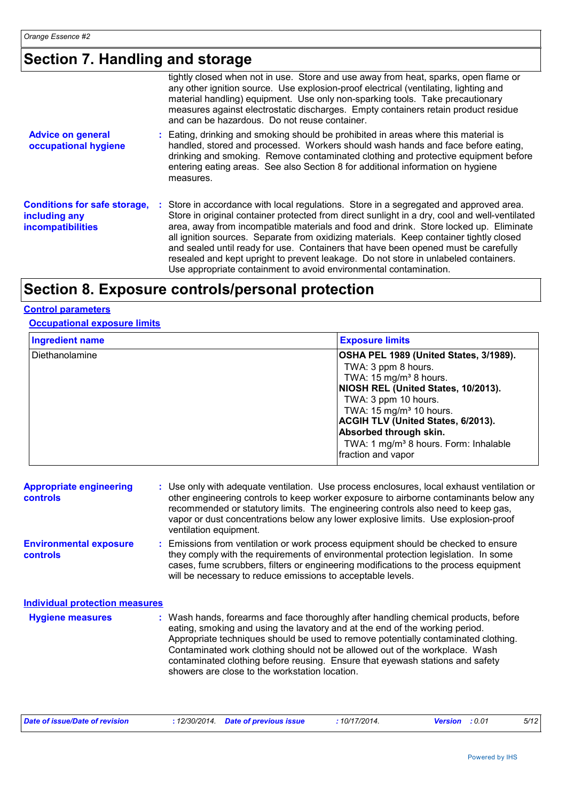# **Section 7. Handling and storage**

|                                                                                  | tightly closed when not in use. Store and use away from heat, sparks, open flame or<br>any other ignition source. Use explosion-proof electrical (ventilating, lighting and<br>material handling) equipment. Use only non-sparking tools. Take precautionary<br>measures against electrostatic discharges. Empty containers retain product residue<br>and can be hazardous. Do not reuse container.                                                                                                                                                                                                                          |
|----------------------------------------------------------------------------------|------------------------------------------------------------------------------------------------------------------------------------------------------------------------------------------------------------------------------------------------------------------------------------------------------------------------------------------------------------------------------------------------------------------------------------------------------------------------------------------------------------------------------------------------------------------------------------------------------------------------------|
| <b>Advice on general</b><br>occupational hygiene                                 | : Eating, drinking and smoking should be prohibited in areas where this material is<br>handled, stored and processed. Workers should wash hands and face before eating,<br>drinking and smoking. Remove contaminated clothing and protective equipment before<br>entering eating areas. See also Section 8 for additional information on hygiene<br>measures.                                                                                                                                                                                                                                                                |
| <b>Conditions for safe storage,</b><br>including any<br><b>incompatibilities</b> | : Store in accordance with local regulations. Store in a segregated and approved area.<br>Store in original container protected from direct sunlight in a dry, cool and well-ventilated<br>area, away from incompatible materials and food and drink. Store locked up. Eliminate<br>all ignition sources. Separate from oxidizing materials. Keep container tightly closed<br>and sealed until ready for use. Containers that have been opened must be carefully<br>resealed and kept upright to prevent leakage. Do not store in unlabeled containers.<br>Use appropriate containment to avoid environmental contamination. |

# **Section 8. Exposure controls/personal protection**

#### **Control parameters**

#### **Occupational exposure limits**

| <b>Ingredient name</b> | <b>Exposure limits</b>                                                                                                                                                                                                                                                                                                                                      |
|------------------------|-------------------------------------------------------------------------------------------------------------------------------------------------------------------------------------------------------------------------------------------------------------------------------------------------------------------------------------------------------------|
| Diethanolamine         | OSHA PEL 1989 (United States, 3/1989).<br>TWA: 3 ppm 8 hours.<br>TWA: 15 mg/m <sup>3</sup> 8 hours.<br>NIOSH REL (United States, 10/2013).<br>TWA: 3 ppm 10 hours.<br>TWA: 15 mg/m <sup>3</sup> 10 hours.<br><b>ACGIH TLV (United States, 6/2013).</b><br>Absorbed through skin.<br>TWA: 1 mg/m <sup>3</sup> 8 hours. Form: Inhalable<br>fraction and vapor |

| <b>Appropriate engineering</b><br>controls | : Use only with adequate ventilation. Use process enclosures, local exhaust ventilation or<br>other engineering controls to keep worker exposure to airborne contaminants below any<br>recommended or statutory limits. The engineering controls also need to keep gas,<br>vapor or dust concentrations below any lower explosive limits. Use explosion-proof<br>ventilation equipment.                                                                                     |
|--------------------------------------------|-----------------------------------------------------------------------------------------------------------------------------------------------------------------------------------------------------------------------------------------------------------------------------------------------------------------------------------------------------------------------------------------------------------------------------------------------------------------------------|
| <b>Environmental exposure</b><br>controls  | : Emissions from ventilation or work process equipment should be checked to ensure<br>they comply with the requirements of environmental protection legislation. In some<br>cases, fume scrubbers, filters or engineering modifications to the process equipment<br>will be necessary to reduce emissions to acceptable levels.                                                                                                                                             |
| <b>Individual protection measures</b>      |                                                                                                                                                                                                                                                                                                                                                                                                                                                                             |
| <b>Hygiene measures</b>                    | : Wash hands, forearms and face thoroughly after handling chemical products, before<br>eating, smoking and using the lavatory and at the end of the working period.<br>Appropriate techniques should be used to remove potentially contaminated clothing.<br>Contaminated work clothing should not be allowed out of the workplace. Wash<br>contaminated clothing before reusing. Ensure that eyewash stations and safety<br>showers are close to the workstation location. |

| Date of issue/Date of revision | : 12/30/2014 Date of previous issue | 10/17/2014. | <b>Version</b> : 0.01 | 5/12 |
|--------------------------------|-------------------------------------|-------------|-----------------------|------|
|                                |                                     |             |                       |      |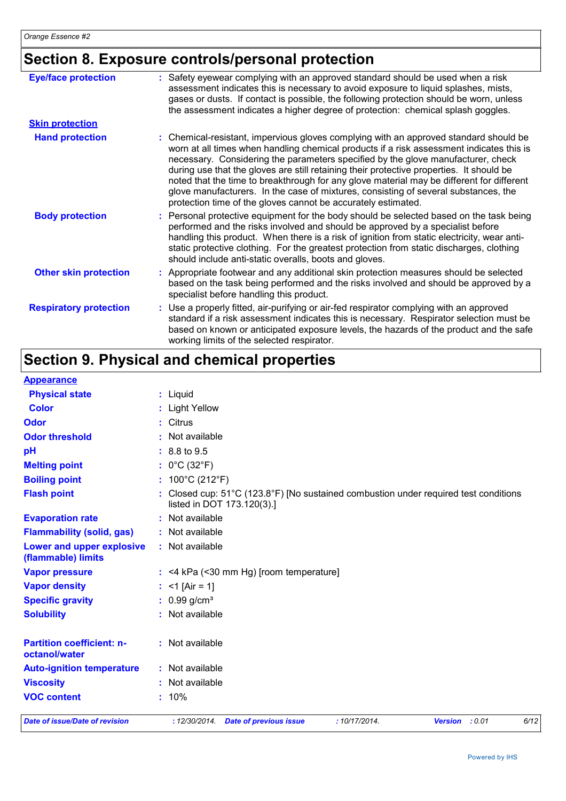# **Section 8. Exposure controls/personal protection**

| <b>Eye/face protection</b>    | : Safety eyewear complying with an approved standard should be used when a risk<br>assessment indicates this is necessary to avoid exposure to liquid splashes, mists,<br>gases or dusts. If contact is possible, the following protection should be worn, unless<br>the assessment indicates a higher degree of protection: chemical splash goggles.                                                                                                                                                                                                                                                                  |
|-------------------------------|------------------------------------------------------------------------------------------------------------------------------------------------------------------------------------------------------------------------------------------------------------------------------------------------------------------------------------------------------------------------------------------------------------------------------------------------------------------------------------------------------------------------------------------------------------------------------------------------------------------------|
| <b>Skin protection</b>        |                                                                                                                                                                                                                                                                                                                                                                                                                                                                                                                                                                                                                        |
| <b>Hand protection</b>        | : Chemical-resistant, impervious gloves complying with an approved standard should be<br>worn at all times when handling chemical products if a risk assessment indicates this is<br>necessary. Considering the parameters specified by the glove manufacturer, check<br>during use that the gloves are still retaining their protective properties. It should be<br>noted that the time to breakthrough for any glove material may be different for different<br>glove manufacturers. In the case of mixtures, consisting of several substances, the<br>protection time of the gloves cannot be accurately estimated. |
| <b>Body protection</b>        | : Personal protective equipment for the body should be selected based on the task being<br>performed and the risks involved and should be approved by a specialist before<br>handling this product. When there is a risk of ignition from static electricity, wear anti-<br>static protective clothing. For the greatest protection from static discharges, clothing<br>should include anti-static overalls, boots and gloves.                                                                                                                                                                                         |
| <b>Other skin protection</b>  | : Appropriate footwear and any additional skin protection measures should be selected<br>based on the task being performed and the risks involved and should be approved by a<br>specialist before handling this product.                                                                                                                                                                                                                                                                                                                                                                                              |
| <b>Respiratory protection</b> | : Use a properly fitted, air-purifying or air-fed respirator complying with an approved<br>standard if a risk assessment indicates this is necessary. Respirator selection must be<br>based on known or anticipated exposure levels, the hazards of the product and the safe<br>working limits of the selected respirator.                                                                                                                                                                                                                                                                                             |

# **Section 9. Physical and chemical properties**

| <b>Appearance</b>                                 |                                                                                                                                         |
|---------------------------------------------------|-----------------------------------------------------------------------------------------------------------------------------------------|
| <b>Physical state</b>                             | : Liquid                                                                                                                                |
| <b>Color</b>                                      | : Light Yellow                                                                                                                          |
| Odor                                              | : Citrus                                                                                                                                |
| <b>Odor threshold</b>                             | : Not available                                                                                                                         |
| pH                                                | $: 8.8 \text{ to } 9.5$                                                                                                                 |
| <b>Melting point</b>                              | : $0^{\circ}$ C (32 $^{\circ}$ F)                                                                                                       |
| <b>Boiling point</b>                              | : $100^{\circ}$ C (212 $^{\circ}$ F)                                                                                                    |
| <b>Flash point</b>                                | : Closed cup: $51^{\circ}$ C (123.8 $^{\circ}$ F) [No sustained combustion under required test conditions<br>listed in DOT 173.120(3).] |
| <b>Evaporation rate</b>                           | : Not available                                                                                                                         |
| <b>Flammability (solid, gas)</b>                  | : Not available                                                                                                                         |
| Lower and upper explosive<br>(flammable) limits   | : Not available                                                                                                                         |
| <b>Vapor pressure</b>                             | $:$ <4 kPa (<30 mm Hg) [room temperature]                                                                                               |
| <b>Vapor density</b>                              | : $<$ 1 [Air = 1]                                                                                                                       |
| <b>Specific gravity</b>                           | $: 0.99$ g/cm <sup>3</sup>                                                                                                              |
| <b>Solubility</b>                                 | : Not available                                                                                                                         |
| <b>Partition coefficient: n-</b><br>octanol/water | : Not available                                                                                                                         |
| <b>Auto-ignition temperature</b>                  | : Not available                                                                                                                         |
| <b>Viscosity</b>                                  | : Not available                                                                                                                         |
| <b>VOC content</b>                                | $: 10\%$                                                                                                                                |
| <b>Date of issue/Date of revision</b>             | 6/12<br>: 12/30/2014. Date of previous issue<br>:10/17/2014.<br><b>Version</b><br>: 0.01                                                |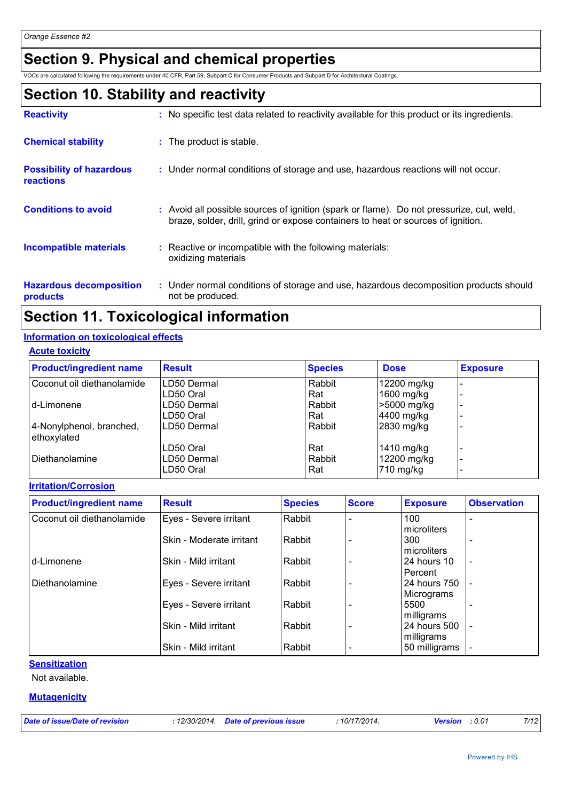# **Section 9. Physical and chemical properties**

VOCs are calculated following the requirements under 40 CFR, Part 59, Subpart C for Consumer Products and Subpart D for Architectural Coatings.

### **Section 10. Stability and reactivity**

| <b>Reactivity</b>                                   | : No specific test data related to reactivity available for this product or its ingredients.                                                                                 |
|-----------------------------------------------------|------------------------------------------------------------------------------------------------------------------------------------------------------------------------------|
| <b>Chemical stability</b>                           | : The product is stable.                                                                                                                                                     |
| <b>Possibility of hazardous</b><br><b>reactions</b> | : Under normal conditions of storage and use, hazardous reactions will not occur.                                                                                            |
| <b>Conditions to avoid</b>                          | : Avoid all possible sources of ignition (spark or flame). Do not pressurize, cut, weld,<br>braze, solder, drill, grind or expose containers to heat or sources of ignition. |
| <b>Incompatible materials</b>                       | Reactive or incompatible with the following materials:<br>oxidizing materials                                                                                                |
| <b>Hazardous decomposition</b><br>products          | : Under normal conditions of storage and use, hazardous decomposition products should<br>not be produced.                                                                    |

## **Section 11. Toxicological information**

#### **Information on toxicological effects**

#### **Acute toxicity**

| <b>Product/ingredient name</b>          | <b>Result</b> | <b>Species</b> | <b>Dose</b> | <b>Exposure</b> |
|-----------------------------------------|---------------|----------------|-------------|-----------------|
| Coconut oil diethanolamide              | LD50 Dermal   | Rabbit         | 12200 mg/kg |                 |
|                                         | LD50 Oral     | Rat            | 1600 mg/kg  |                 |
| d-Limonene                              | LD50 Dermal   | Rabbit         | >5000 mg/kg |                 |
|                                         | LD50 Oral     | Rat            | 4400 mg/kg  |                 |
| 4-Nonylphenol, branched,<br>ethoxylated | LD50 Dermal   | Rabbit         | 2830 mg/kg  |                 |
|                                         | LD50 Oral     | Rat            | 1410 mg/kg  |                 |
| Diethanolamine                          | LD50 Dermal   | Rabbit         | 12200 mg/kg |                 |
|                                         | LD50 Oral     | Rat            | 710 mg/kg   |                 |

**Irritation/Corrosion**

| <b>Product/ingredient name</b> | <b>Result</b>            | <b>Species</b> | <b>Score</b> | <b>Exposure</b> | <b>Observation</b>       |
|--------------------------------|--------------------------|----------------|--------------|-----------------|--------------------------|
| Coconut oil diethanolamide     | Eyes - Severe irritant   | Rabbit         |              | 100             |                          |
|                                |                          |                |              | microliters     |                          |
|                                | Skin - Moderate irritant | Rabbit         |              | 300             |                          |
|                                |                          |                |              | microliters     |                          |
| d-Limonene                     | Skin - Mild irritant     | Rabbit         |              | 24 hours 10     | $\overline{\phantom{a}}$ |
|                                |                          |                |              | Percent         |                          |
| Diethanolamine                 | Eyes - Severe irritant   | Rabbit         |              | 24 hours 750    |                          |
|                                |                          |                |              | Micrograms      |                          |
|                                | Eyes - Severe irritant   | Rabbit         |              | 5500            |                          |
|                                |                          |                |              | milligrams      |                          |
|                                | Skin - Mild irritant     | Rabbit         |              | 24 hours 500    | $\overline{\phantom{a}}$ |
|                                |                          |                |              | milligrams      |                          |
|                                | Skin - Mild irritant     | Rabbit         |              | 50 milligrams   |                          |

#### **Sensitization**

Not available.

#### **Mutagenicity**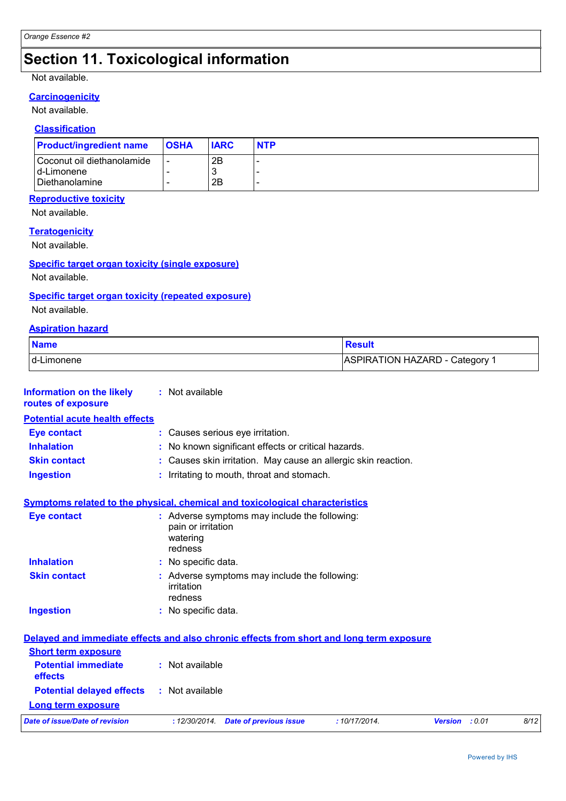# **Section 11. Toxicological information**

#### Not available.

### **Carcinogenicity**

Not available.

### **Classification**

| <b>Product/ingredient name</b> | <b>OSHA</b> | <b>IARC</b> | <b>NTP</b> |
|--------------------------------|-------------|-------------|------------|
| Coconut oil diethanolamide     |             | 2Β          |            |
| Id-Limonene                    |             | w           |            |
| <b>I</b> Diethanolamine        |             | 2Β          |            |

#### **Reproductive toxicity**

Not available.

#### **Teratogenicity**

Not available.

#### **Specific target organ toxicity (single exposure)**

Not available.

#### **Specific target organ toxicity (repeated exposure)**

Not available.

#### **Aspiration hazard**

| <b>Name</b>  | रेesult                      |
|--------------|------------------------------|
| I d-Limonene | ASPIRATION HAZARD - Category |

| <b>Information on the likely</b><br>routes of exposure | : Not available                                                                            |
|--------------------------------------------------------|--------------------------------------------------------------------------------------------|
| <b>Potential acute health effects</b>                  |                                                                                            |
| Eye contact                                            | : Causes serious eye irritation.                                                           |
| <b>Inhalation</b>                                      | : No known significant effects or critical hazards.                                        |
| <b>Skin contact</b>                                    | : Causes skin irritation. May cause an allergic skin reaction.                             |
| <b>Ingestion</b>                                       | : Irritating to mouth, throat and stomach.                                                 |
|                                                        | Symptoms related to the physical, chemical and toxicological characteristics               |
| <b>Eye contact</b>                                     | : Adverse symptoms may include the following:<br>pain or irritation<br>watering<br>redness |
| <b>Inhalation</b>                                      | : No specific data.                                                                        |
| <b>Skin contact</b>                                    | : Adverse symptoms may include the following:<br>irritation<br>redness                     |
| <b>Ingestion</b>                                       | : No specific data.                                                                        |
|                                                        | Delayed and immediate effects and also chronic effects from short and long term exposure   |
| <b>Short term exposure</b>                             |                                                                                            |
| <b>Potential immediate</b><br>effects                  | : Not available                                                                            |
| <b>Potential delayed effects</b>                       | : Not available                                                                            |
| <b>Long term exposure</b>                              |                                                                                            |
| <b>Date of issue/Date of revision</b>                  | 8/12<br>:10/17/2014.<br>Version : 0.01<br>: 12/30/2014. Date of previous issue             |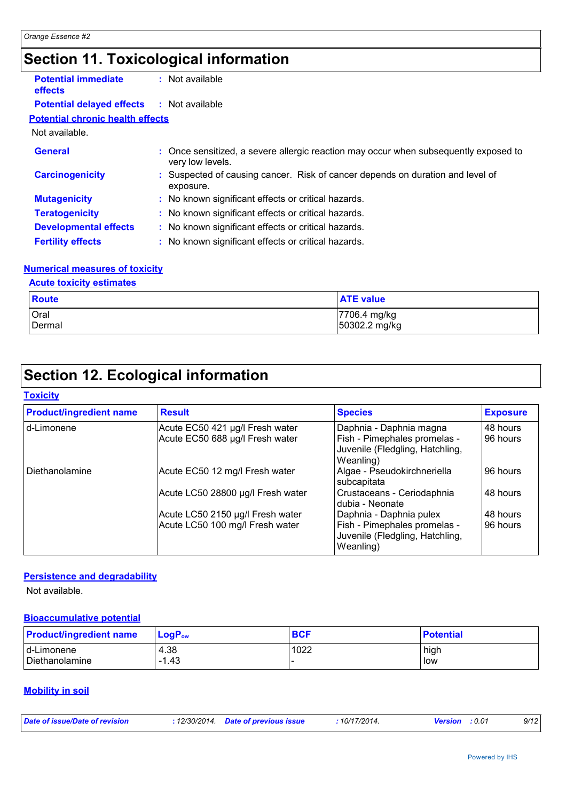# **Section 11. Toxicological information**

| <b>Potential immediate</b><br><b>effects</b> | : Not available                                                                                          |  |
|----------------------------------------------|----------------------------------------------------------------------------------------------------------|--|
| <b>Potential delayed effects</b>             | : Not available                                                                                          |  |
| <b>Potential chronic health effects</b>      |                                                                                                          |  |
| Not available.                               |                                                                                                          |  |
| <b>General</b>                               | : Once sensitized, a severe allergic reaction may occur when subsequently exposed to<br>very low levels. |  |
| <b>Carcinogenicity</b>                       | : Suspected of causing cancer. Risk of cancer depends on duration and level of<br>exposure.              |  |
| <b>Mutagenicity</b>                          | : No known significant effects or critical hazards.                                                      |  |
| <b>Teratogenicity</b>                        | : No known significant effects or critical hazards.                                                      |  |
| <b>Developmental effects</b>                 | : No known significant effects or critical hazards.                                                      |  |
| <b>Fertility effects</b>                     | : No known significant effects or critical hazards.                                                      |  |

#### **Numerical measures of toxicity**

#### **Acute toxicity estimates**

| <b>Route</b> | <b>ATE value</b> |
|--------------|------------------|
| Oral         | 17706.4 mg/kg    |
| Dermal       | 50302.2 mg/kg    |

# **Section 12. Ecological information**

#### **Toxicity**

| <b>Product/ingredient name</b> | <b>Result</b>                     | <b>Species</b>                                                               | <b>Exposure</b> |
|--------------------------------|-----------------------------------|------------------------------------------------------------------------------|-----------------|
| d-Limonene                     | Acute EC50 421 µg/l Fresh water   | Daphnia - Daphnia magna                                                      | 48 hours        |
|                                | Acute EC50 688 µg/l Fresh water   | Fish - Pimephales promelas -<br>Juvenile (Fledgling, Hatchling,<br>Weanling) | 96 hours        |
| Diethanolamine                 | Acute EC50 12 mg/l Fresh water    | Algae - Pseudokirchneriella<br>subcapitata                                   | 96 hours        |
|                                | Acute LC50 28800 µg/l Fresh water | Crustaceans - Ceriodaphnia<br>dubia - Neonate                                | 48 hours        |
|                                | Acute LC50 2150 µg/l Fresh water  | Daphnia - Daphnia pulex                                                      | 48 hours        |
|                                | Acute LC50 100 mg/l Fresh water   | Fish - Pimephales promelas -<br>Juvenile (Fledgling, Hatchling,<br>Weanling) | 96 hours        |

#### **Persistence and degradability**

Not available.

#### **Bioaccumulative potential**

| <b>Product/ingredient name</b> | $LogP_{ow}$ | <b>BCF</b> | <b>Potential</b> |
|--------------------------------|-------------|------------|------------------|
| Id-Limonene                    | 4.38        | 1022       | high             |
| Diethanolamine                 | $-1.43$     |            | low              |

#### **Mobility in soil**

| Date of issue/Date of revision | : 12/30/2014 Date of previous issue | : 10/17/2014. | <b>Version</b> : 0.01 | 9/12 |
|--------------------------------|-------------------------------------|---------------|-----------------------|------|
|                                |                                     |               |                       |      |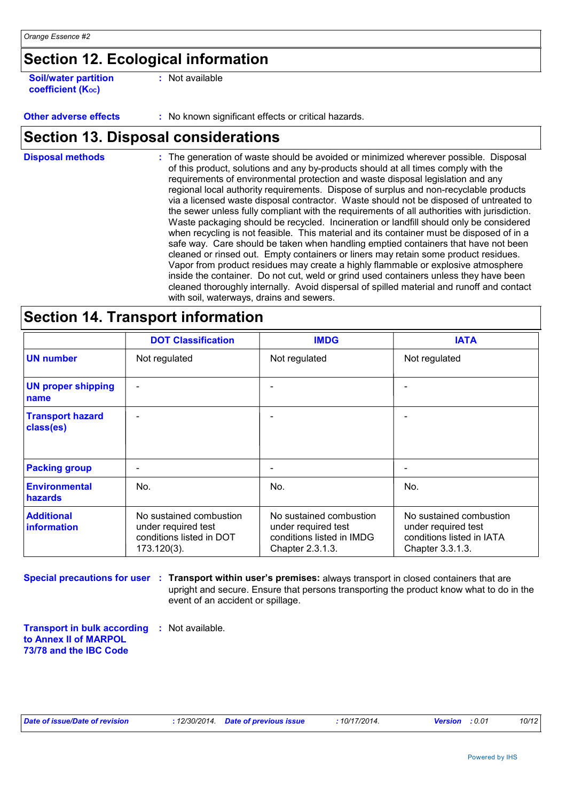## **Section 12. Ecological information**

**Soil/water partition coefficient (KOC)**

**:** Not available

#### **Other adverse effects** : No known significant effects or critical hazards.

### **Section 13. Disposal considerations**

The generation of waste should be avoided or minimized wherever possible. Disposal of this product, solutions and any by-products should at all times comply with the requirements of environmental protection and waste disposal legislation and any regional local authority requirements. Dispose of surplus and non-recyclable products via a licensed waste disposal contractor. Waste should not be disposed of untreated to the sewer unless fully compliant with the requirements of all authorities with jurisdiction. Waste packaging should be recycled. Incineration or landfill should only be considered when recycling is not feasible. This material and its container must be disposed of in a safe way. Care should be taken when handling emptied containers that have not been cleaned or rinsed out. Empty containers or liners may retain some product residues. Vapor from product residues may create a highly flammable or explosive atmosphere inside the container. Do not cut, weld or grind used containers unless they have been cleaned thoroughly internally. Avoid dispersal of spilled material and runoff and contact with soil, waterways, drains and sewers. **Disposal methods :**

### **Section 14. Transport information**

|                                         | <b>DOT Classification</b>                                                                 | <b>IMDG</b>                                                                                     | <b>IATA</b>                                                                                     |
|-----------------------------------------|-------------------------------------------------------------------------------------------|-------------------------------------------------------------------------------------------------|-------------------------------------------------------------------------------------------------|
| <b>UN number</b>                        | Not regulated                                                                             | Not regulated                                                                                   | Not regulated                                                                                   |
| <b>UN proper shipping</b><br>name       |                                                                                           |                                                                                                 |                                                                                                 |
| <b>Transport hazard</b><br>class(es)    |                                                                                           |                                                                                                 |                                                                                                 |
| <b>Packing group</b>                    | ٠                                                                                         |                                                                                                 |                                                                                                 |
| <b>Environmental</b><br><b>hazards</b>  | No.                                                                                       | No.                                                                                             | No.                                                                                             |
| <b>Additional</b><br><i>information</i> | No sustained combustion<br>under required test<br>conditions listed in DOT<br>173.120(3). | No sustained combustion<br>under required test<br>conditions listed in IMDG<br>Chapter 2.3.1.3. | No sustained combustion<br>under required test<br>conditions listed in IATA<br>Chapter 3.3.1.3. |

#### **Special precautions for user : Transport within user's premises:** always transport in closed containers that are upright and secure. Ensure that persons transporting the product know what to do in the event of an accident or spillage.

**Transport in bulk according :** Not available. **to Annex II of MARPOL 73/78 and the IBC Code**

|  | Date of issue/Date of revision |  |
|--|--------------------------------|--|
|--|--------------------------------|--|

*Date of issue/Date of revision* **:** *12/30/2014. Date of previous issue : 10/17/2014. Version : 0.01 10/12*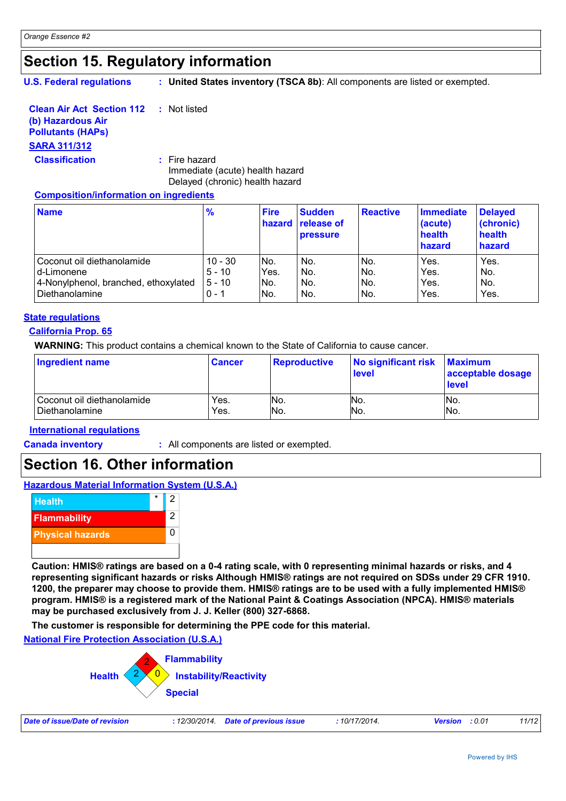### **Section 15. Regulatory information**

**U.S. Federal regulations**

**: United States inventory (TSCA 8b)**: All components are listed or exempted.

| <b>Clean Air Act Section 112</b> | : Not listed |
|----------------------------------|--------------|
|----------------------------------|--------------|

#### **(b) Hazardous Air Pollutants (HAPs)**

# **SARA 311/312**

**Classification :** Fire hazard Immediate (acute) health hazard Delayed (chronic) health hazard

#### **Composition/information on ingredients**

| <b>Name</b>                          | $\frac{9}{6}$ | <b>Fire</b> | <b>Sudden</b><br><b>hazard</b> release of<br><b>pressure</b> | <b>Reactive</b> | <b>Immediate</b><br>(acute)<br>health<br>hazard | <b>Delayed</b><br>(chronic)<br>health<br>hazard |
|--------------------------------------|---------------|-------------|--------------------------------------------------------------|-----------------|-------------------------------------------------|-------------------------------------------------|
| Coconut oil diethanolamide           | $10 - 30$     | INo.        | No.                                                          | No.             | Yes.                                            | Yes.                                            |
| d-Limonene                           | $5 - 10$      | Yes.        | No.                                                          | No.             | Yes.                                            | No.                                             |
| 4-Nonylphenol, branched, ethoxylated | $5 - 10$      | INo.        | No.                                                          | No.             | Yes.                                            | No.                                             |
| Diethanolamine                       | $0 - 1$       | No.         | No.                                                          | No.             | Yes.                                            | Yes.                                            |

#### **State regulations**

#### **California Prop. 65**

**WARNING:** This product contains a chemical known to the State of California to cause cancer.

| Ingredient name              | <b>Cancer</b> | <b>Reproductive</b> | No significant risk<br><b>level</b> | <b>Maximum</b><br>acceptable dosage<br>level |
|------------------------------|---------------|---------------------|-------------------------------------|----------------------------------------------|
| l Coconut oil diethanolamide | Yes.          | No.                 | No.                                 | INo.                                         |
| Diethanolamine               | Yes.          | No.                 | No.                                 | INo.                                         |

#### **International regulations**

**Canada inventory :** All components are listed or exempted.

### **Section 16. Other information**

**Hazardous Material Information System (U.S.A.)**



**Caution: HMIS® ratings are based on a 0-4 rating scale, with 0 representing minimal hazards or risks, and 4 representing significant hazards or risks Although HMIS® ratings are not required on SDSs under 29 CFR 1910. 1200, the preparer may choose to provide them. HMIS® ratings are to be used with a fully implemented HMIS® program. HMIS® is a registered mark of the National Paint & Coatings Association (NPCA). HMIS® materials may be purchased exclusively from J. J. Keller (800) 327-6868.**

**The customer is responsible for determining the PPE code for this material.**

**National Fire Protection Association (U.S.A.)**



| Date of issue/Date of revision | : 12/30/2014 Date of previous issue | 10/17/2014. | <b>Version</b> : 0.01 | 11/12 |
|--------------------------------|-------------------------------------|-------------|-----------------------|-------|
|--------------------------------|-------------------------------------|-------------|-----------------------|-------|